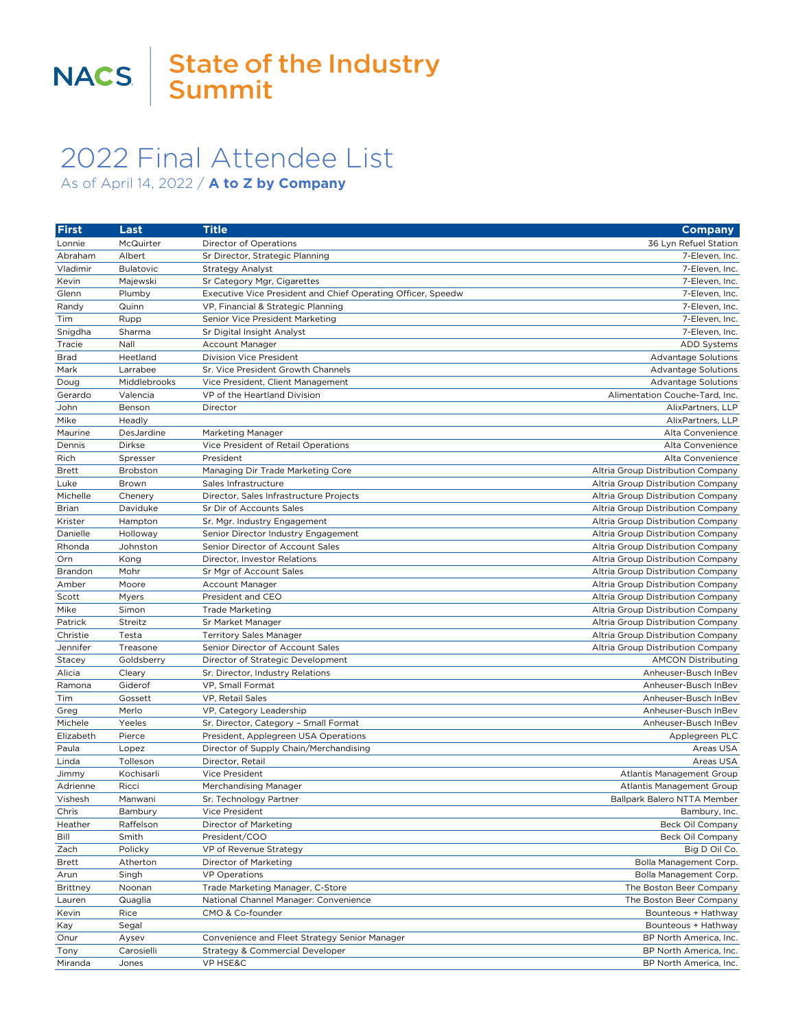## 2022 Final Attendee List

As of April 14, 2022 / **A to Z by Company**

| <b>First</b>        | Last                 | <b>Title</b>                                                        | <b>Company</b>                                                         |
|---------------------|----------------------|---------------------------------------------------------------------|------------------------------------------------------------------------|
| Lonnie              | McQuirter            | Director of Operations                                              | 36 Lyn Refuel Station                                                  |
| Abraham             | Albert               | Sr Director, Strategic Planning                                     | 7-Eleven, Inc.                                                         |
| Vladimir            | <b>Bulatovic</b>     | <b>Strategy Analyst</b>                                             | 7-Eleven, Inc.                                                         |
| Kevin               | Majewski             | Sr Category Mgr, Cigarettes                                         | 7-Eleven, Inc.                                                         |
| Glenn               | Plumby               | Executive Vice President and Chief Operating Officer, Speedw        | 7-Eleven, Inc.                                                         |
| Randy               | Quinn                | VP, Financial & Strategic Planning                                  | 7-Eleven, Inc.                                                         |
| Tim                 | Rupp                 | Senior Vice President Marketing                                     | 7-Eleven, Inc.                                                         |
| Snigdha             | Sharma               | Sr Digital Insight Analyst                                          | 7-Eleven, Inc.                                                         |
| Tracie              | Nall                 | Account Manager                                                     | <b>ADD Systems</b>                                                     |
| <b>Brad</b>         | Heetland             | Division Vice President                                             | Advantage Solutions                                                    |
| Mark                | Larrabee             | Sr. Vice President Growth Channels                                  | <b>Advantage Solutions</b>                                             |
| Doug                | Middlebrooks         | Vice President, Client Management                                   | <b>Advantage Solutions</b>                                             |
| Gerardo             | Valencia             | VP of the Heartland Division                                        | Alimentation Couche-Tard, Inc.                                         |
| John                | Benson               | Director                                                            | AlixPartners, LLP                                                      |
| Mike                | Headly               |                                                                     | AlixPartners, LLP                                                      |
| Maurine             | DesJardine           | Marketing Manager                                                   | Alta Convenience                                                       |
| Dennis              | Dirkse               | Vice President of Retail Operations                                 | Alta Convenience                                                       |
| Rich                | Spresser             | President                                                           | Alta Convenience                                                       |
| <b>Brett</b>        | Brobston             | Managing Dir Trade Marketing Core                                   | Altria Group Distribution Company                                      |
| Luke                | Brown                | Sales Infrastructure                                                | Altria Group Distribution Company                                      |
| Michelle            | Chenery              | Director, Sales Infrastructure Projects                             | Altria Group Distribution Company                                      |
| <b>Brian</b>        | Daviduke             | Sr Dir of Accounts Sales                                            | Altria Group Distribution Company                                      |
| Krister<br>Danielle | Hampton              | Sr. Mgr. Industry Engagement<br>Senior Director Industry Engagement | Altria Group Distribution Company                                      |
| Rhonda              | Holloway<br>Johnston | Senior Director of Account Sales                                    | Altria Group Distribution Company<br>Altria Group Distribution Company |
| Orn                 | Kong                 | Director, Investor Relations                                        | Altria Group Distribution Company                                      |
| Brandon             | Mohr                 | Sr Mgr of Account Sales                                             | Altria Group Distribution Company                                      |
| Amber               | Moore                | Account Manager                                                     | Altria Group Distribution Company                                      |
| Scott               | Myers                | President and CEO                                                   | Altria Group Distribution Company                                      |
| Mike                | Simon                | <b>Trade Marketing</b>                                              | Altria Group Distribution Company                                      |
| Patrick             | Streitz              | Sr Market Manager                                                   | Altria Group Distribution Company                                      |
| Christie            | Testa                | <b>Territory Sales Manager</b>                                      | Altria Group Distribution Company                                      |
| Jennifer            | Treasone             | Senior Director of Account Sales                                    | Altria Group Distribution Company                                      |
| Stacey              | Goldsberry           | Director of Strategic Development                                   | <b>AMCON Distributing</b>                                              |
| Alicia              | Cleary               | Sr. Director, Industry Relations                                    | Anheuser-Busch InBev                                                   |
| Ramona              | Giderof              | VP, Small Format                                                    | Anheuser-Busch InBev                                                   |
| Tim                 | Gossett              | VP, Retail Sales                                                    | Anheuser-Busch InBev                                                   |
| Greg                | Merlo                | VP, Category Leadership                                             | Anheuser-Busch InBev                                                   |
| Michele             | Yeeles               | Sr. Director, Category - Small Format                               | Anheuser-Busch InBev                                                   |
| Elizabeth           | Pierce               | President, Applegreen USA Operations                                | Applegreen PLC                                                         |
| Paula               | Lopez                | Director of Supply Chain/Merchandising                              | Areas USA                                                              |
| Linda               | Tolleson             | Director, Retail                                                    | Areas USA                                                              |
| Jimmy               | Kochisarli           | Vice President                                                      | Atlantis Management Group                                              |
| Adrienne            | Ricci                | Merchandising Manager                                               | Atlantis Management Group                                              |
| Vishesh             | Manwani              | Sr. Technology Partner                                              | Ballpark Balero NTTA Member                                            |
| Chris               | Bambury              | Vice President                                                      | Bambury, Inc.                                                          |
| Heather             | Raffelson            | Director of Marketing                                               | Beck Oil Company                                                       |
| Bill                | Smith                | President/COO                                                       | <b>Beck Oil Company</b>                                                |
| Zach                | Policky              | VP of Revenue Strategy                                              | Big D Oil Co.                                                          |
| Brett               | Atherton             | Director of Marketing                                               | Bolla Management Corp.                                                 |
| Arun                | Singh                | <b>VP Operations</b>                                                | Bolla Management Corp.                                                 |
| Brittney            | Noonan               | Trade Marketing Manager, C-Store                                    | The Boston Beer Company                                                |
| Lauren              | Quaglia              | National Channel Manager: Convenience                               | The Boston Beer Company                                                |
| Kevin               | Rice                 | CMO & Co-founder                                                    | Bounteous + Hathway                                                    |
| Kay                 | Segal                |                                                                     | Bounteous + Hathway                                                    |
| Onur                | Aysev                | Convenience and Fleet Strategy Senior Manager                       | BP North America, Inc.                                                 |
| Tony                | Carosielli           | Strategy & Commercial Developer                                     | BP North America, Inc.                                                 |
| Miranda             | Jones                | VP HSE&C                                                            | BP North America, Inc.                                                 |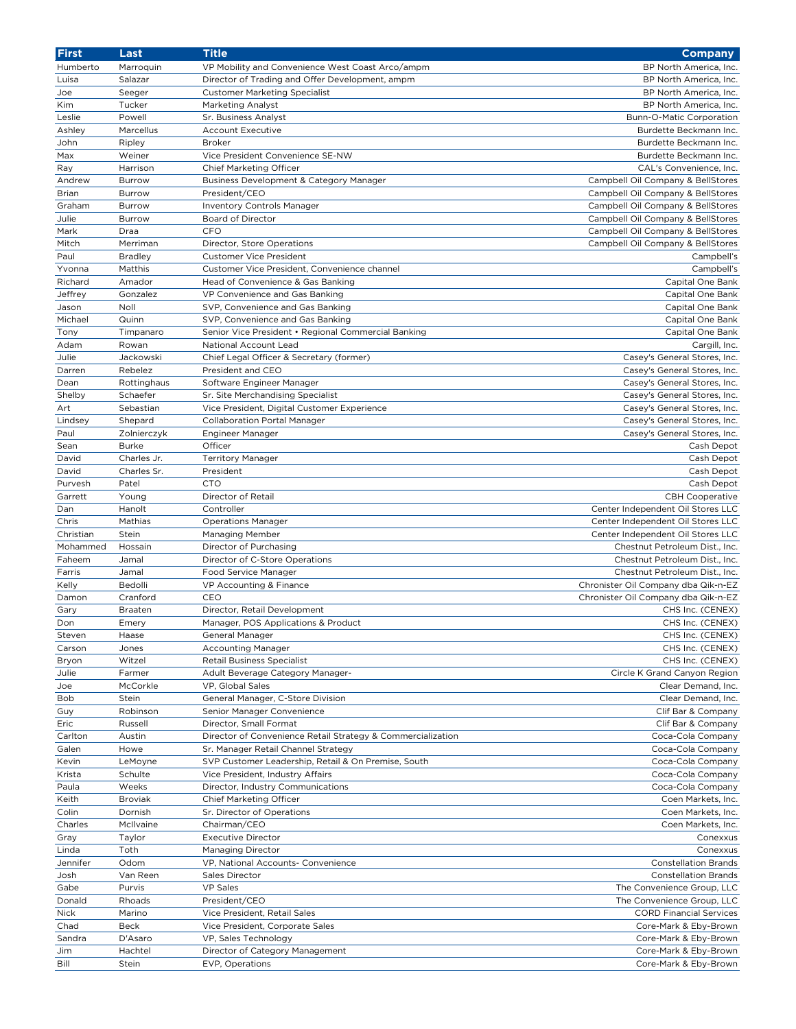| <b>First</b> | Last           | <b>Title</b>                                                | Company                             |
|--------------|----------------|-------------------------------------------------------------|-------------------------------------|
| Humberto     | Marroquin      | VP Mobility and Convenience West Coast Arco/ampm            | BP North America, Inc.              |
| Luisa        | Salazar        | Director of Trading and Offer Development, ampm             | BP North America, Inc.              |
| Joe          | Seeger         | <b>Customer Marketing Specialist</b>                        | BP North America, Inc.              |
| Kim          | Tucker         | Marketing Analyst                                           | BP North America, Inc.              |
| Leslie       | Powell         | Sr. Business Analyst                                        | Bunn-O-Matic Corporation            |
| Ashley       | Marcellus      | <b>Account Executive</b>                                    | Burdette Beckmann Inc.              |
| John         | Ripley         | <b>Broker</b>                                               | Burdette Beckmann Inc.              |
| Max          | Weiner         | Vice President Convenience SE-NW                            | Burdette Beckmann Inc.              |
|              |                |                                                             |                                     |
| Ray          | Harrison       | Chief Marketing Officer                                     | CAL's Convenience, Inc.             |
| Andrew       | Burrow         | Business Development & Category Manager                     | Campbell Oil Company & BellStores   |
| Brian        | Burrow         | President/CEO                                               | Campbell Oil Company & BellStores   |
| Graham       | <b>Burrow</b>  | <b>Inventory Controls Manager</b>                           | Campbell Oil Company & BellStores   |
| Julie        | Burrow         | Board of Director                                           | Campbell Oil Company & BellStores   |
| Mark         | Draa           | CFO                                                         | Campbell Oil Company & BellStores   |
| Mitch        | Merriman       | Director, Store Operations                                  | Campbell Oil Company & BellStores   |
| Paul         | <b>Bradley</b> | <b>Customer Vice President</b>                              | Campbell's                          |
| Yvonna       | Matthis        | Customer Vice President, Convenience channel                | Campbell's                          |
| Richard      | Amador         | Head of Convenience & Gas Banking                           | Capital One Bank                    |
| Jeffrey      | Gonzalez       | VP Convenience and Gas Banking                              | Capital One Bank                    |
| Jason        | Noll           | SVP, Convenience and Gas Banking                            | Capital One Bank                    |
| Michael      | Quinn          | SVP, Convenience and Gas Banking                            | Capital One Bank                    |
| Tony         | Timpanaro      | Senior Vice President • Regional Commercial Banking         | Capital One Bank                    |
| Adam         | Rowan          | National Account Lead                                       | Cargill, Inc.                       |
|              |                |                                                             |                                     |
| Julie        | Jackowski      | Chief Legal Officer & Secretary (former)                    | Casey's General Stores, Inc.        |
| Darren       | Rebelez        | President and CEO                                           | Casey's General Stores, Inc.        |
| Dean         | Rottinghaus    | Software Engineer Manager                                   | Casey's General Stores, Inc.        |
| Shelby       | Schaefer       | Sr. Site Merchandising Specialist                           | Casey's General Stores, Inc.        |
| Art          | Sebastian      | Vice President, Digital Customer Experience                 | Casey's General Stores, Inc.        |
| Lindsey      | Shepard        | <b>Collaboration Portal Manager</b>                         | Casey's General Stores, Inc.        |
| Paul         | Zolnierczyk    | Engineer Manager                                            | Casey's General Stores, Inc.        |
| Sean         | Burke          | Officer                                                     | Cash Depot                          |
| David        | Charles Jr.    | <b>Territory Manager</b>                                    | Cash Depot                          |
| David        | Charles Sr.    | President                                                   | Cash Depot                          |
| Purvesh      | Patel          | <b>CTO</b>                                                  | Cash Depot                          |
| Garrett      | Young          | Director of Retail                                          | <b>CBH Cooperative</b>              |
| Dan          | Hanolt         | Controller                                                  | Center Independent Oil Stores LLC   |
| Chris        | Mathias        | <b>Operations Manager</b>                                   | Center Independent Oil Stores LLC   |
| Christian    | Stein          |                                                             | Center Independent Oil Stores LLC   |
|              |                | Managing Member                                             |                                     |
| Mohammed     | Hossain        | Director of Purchasing                                      | Chestnut Petroleum Dist., Inc.      |
| Faheem       | Jamal          | Director of C-Store Operations                              | Chestnut Petroleum Dist., Inc.      |
| Farris       | Jamal          | Food Service Manager                                        | Chestnut Petroleum Dist., Inc.      |
| Kelly        | Bedolli        | VP Accounting & Finance                                     | Chronister Oil Company dba Qik-n-EZ |
| Damon        | Cranford       | CEO                                                         | Chronister Oil Company dba Qik-n-EZ |
| Gary         | Braaten        | Director, Retail Development                                | CHS Inc. (CENEX)                    |
| Don          | Emery          | Manager, POS Applications & Product                         | CHS Inc. (CENEX)                    |
| Steven       | Haase          | General Manager                                             | CHS Inc. (CENEX)                    |
| Carson       | Jones          | <b>Accounting Manager</b>                                   | CHS Inc. (CENEX)                    |
| Bryon        | Witzel         | <b>Retail Business Specialist</b>                           | CHS Inc. (CENEX)                    |
| Julie        | Farmer         | Adult Beverage Category Manager-                            | Circle K Grand Canyon Region        |
| Joe          | McCorkle       | VP, Global Sales                                            | Clear Demand, Inc.                  |
| Bob          | Stein          | General Manager, C-Store Division                           | Clear Demand, Inc.                  |
|              |                |                                                             |                                     |
| Guy          | Robinson       | Senior Manager Convenience                                  | Clif Bar & Company                  |
| Eric         | Russell        | Director, Small Format                                      | Clif Bar & Company                  |
| Carlton      | Austin         | Director of Convenience Retail Strategy & Commercialization | Coca-Cola Company                   |
| Galen        | Howe           | Sr. Manager Retail Channel Strategy                         | Coca-Cola Company                   |
| Kevin        | LeMoyne        | SVP Customer Leadership, Retail & On Premise, South         | Coca-Cola Company                   |
| Krista       | Schulte        | Vice President, Industry Affairs                            | Coca-Cola Company                   |
| Paula        | Weeks          | Director, Industry Communications                           | Coca-Cola Company                   |
| Keith        | <b>Broviak</b> | Chief Marketing Officer                                     | Coen Markets, Inc.                  |
| Colin        | Dornish        | Sr. Director of Operations                                  | Coen Markets, Inc.                  |
| Charles      | McIlvaine      | Chairman/CEO                                                | Coen Markets, Inc.                  |
| Gray         | Taylor         | <b>Executive Director</b>                                   | Conexxus                            |
| Linda        | Toth           | Managing Director                                           | Conexxus                            |
| Jennifer     | Odom           | VP, National Accounts- Convenience                          | <b>Constellation Brands</b>         |
|              |                |                                                             |                                     |
| Josh         | Van Reen       | Sales Director                                              | <b>Constellation Brands</b>         |
| Gabe         | Purvis         | <b>VP Sales</b>                                             | The Convenience Group, LLC          |
| Donald       | Rhoads         | President/CEO                                               | The Convenience Group, LLC          |
| Nick         | Marino         | Vice President, Retail Sales                                | <b>CORD Financial Services</b>      |
| Chad         | <b>Beck</b>    | Vice President, Corporate Sales                             | Core-Mark & Eby-Brown               |
| Sandra       | D'Asaro        | VP, Sales Technology                                        | Core-Mark & Eby-Brown               |
| Jim          | Hachtel        | Director of Category Management                             | Core-Mark & Eby-Brown               |
| Bill         | Stein          | EVP, Operations                                             | Core-Mark & Eby-Brown               |
|              |                |                                                             |                                     |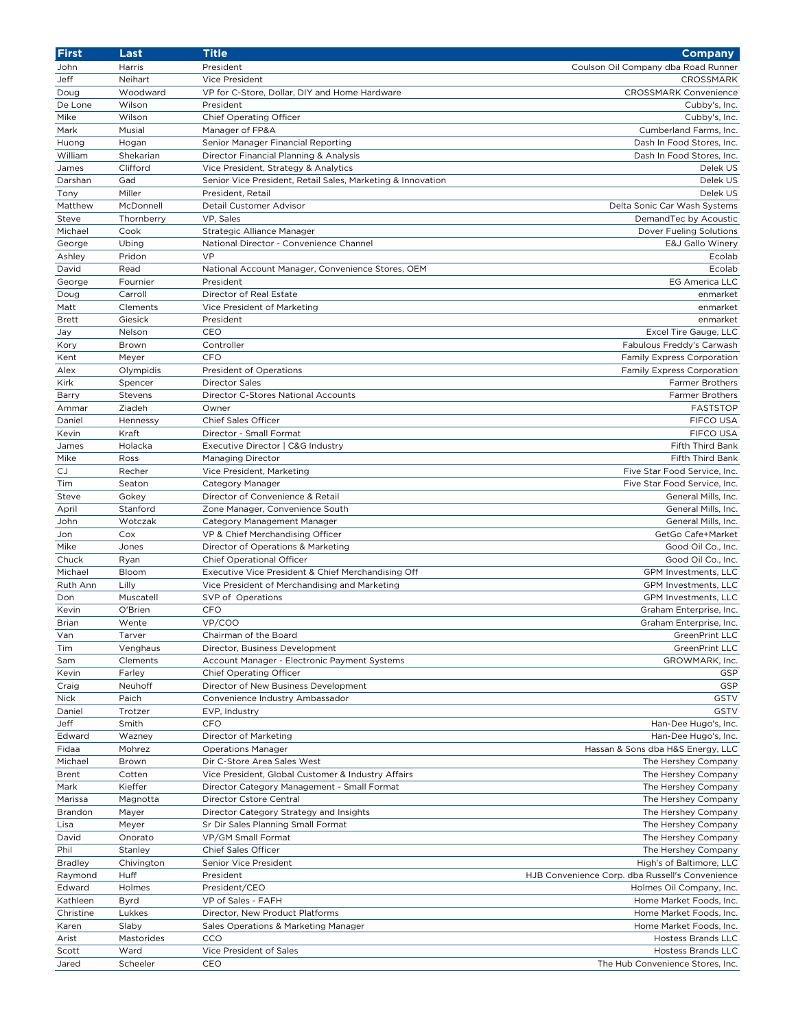| <b>First</b>     | Last               | <b>Title</b>                                                       | <b>Company</b>                                  |
|------------------|--------------------|--------------------------------------------------------------------|-------------------------------------------------|
| John             | Harris             | President                                                          | Coulson Oil Company dba Road Runner             |
| Jeff             | Neihart            | Vice President                                                     | CROSSMARK                                       |
| Doug             | Woodward           | VP for C-Store, Dollar, DIY and Home Hardware                      | <b>CROSSMARK Convenience</b>                    |
| De Lone          | Wilson             | President                                                          | Cubby's, Inc.                                   |
| Mike             | Wilson             | <b>Chief Operating Officer</b>                                     | Cubby's, Inc.                                   |
| Mark             | Musial             | Manager of FP&A                                                    | Cumberland Farms, Inc.                          |
| Huong            | Hogan              | Senior Manager Financial Reporting                                 | Dash In Food Stores, Inc.                       |
| William          | Shekarian          | Director Financial Planning & Analysis                             | Dash In Food Stores, Inc.                       |
| James            | Clifford           | Vice President, Strategy & Analytics                               | Delek US                                        |
| Darshan          | Gad                | Senior Vice President, Retail Sales, Marketing & Innovation        | Delek US                                        |
| Tony             | Miller             | President, Retail                                                  | Delek US                                        |
| Matthew          | McDonnell          | Detail Customer Advisor                                            | Delta Sonic Car Wash Systems                    |
| Steve            | Thornberry         | VP, Sales                                                          | DemandTec by Acoustic                           |
| Michael          | Cook               | Strategic Alliance Manager                                         | Dover Fueling Solutions                         |
| George<br>Ashley | Ubing<br>Pridon    | National Director - Convenience Channel<br>VP                      | E&J Gallo Winery<br>Ecolab                      |
| David            | Read               | National Account Manager, Convenience Stores, OEM                  | Ecolab                                          |
| George           | Fournier           | President                                                          | <b>EG America LLC</b>                           |
| Doug             | Carroll            | Director of Real Estate                                            | enmarket                                        |
| Matt             | Clements           | Vice President of Marketing                                        | enmarket                                        |
| <b>Brett</b>     | Giesick            | President                                                          | enmarket                                        |
| Jay              | Nelson             | CEO                                                                | Excel Tire Gauge, LLC                           |
| Kory             | Brown              | Controller                                                         | Fabulous Freddy's Carwash                       |
| Kent             | Meyer              | CFO                                                                | Family Express Corporation                      |
| Alex             | Olympidis          | President of Operations                                            | Family Express Corporation                      |
| Kirk             | Spencer            | <b>Director Sales</b>                                              | <b>Farmer Brothers</b>                          |
| Barry            | Stevens            | Director C-Stores National Accounts                                | <b>Farmer Brothers</b>                          |
| Ammar            | Ziadeh             | Owner                                                              | <b>FASTSTOP</b>                                 |
| Daniel           | Hennessy           | Chief Sales Officer                                                | FIFCO USA                                       |
| Kevin            | Kraft              | Director - Small Format                                            | <b>FIFCO USA</b>                                |
| James            | Holacka            | Executive Director   C&G Industry                                  | Fifth Third Bank                                |
| Mike             | Ross               | <b>Managing Director</b>                                           | Fifth Third Bank                                |
| <b>CJ</b>        | Recher             | Vice President, Marketing                                          | Five Star Food Service, Inc.                    |
| Tim              | Seaton             | Category Manager                                                   | Five Star Food Service, Inc.                    |
| Steve            | Gokey              | Director of Convenience & Retail                                   | General Mills, Inc.                             |
| April            | Stanford           | Zone Manager, Convenience South                                    | General Mills, Inc.                             |
| John             | Wotczak            | Category Management Manager                                        | General Mills, Inc.                             |
| Jon              | Cox                | VP & Chief Merchandising Officer                                   | GetGo Cafe+Market                               |
| Mike             | Jones              | Director of Operations & Marketing                                 | Good Oil Co., Inc.                              |
| Chuck            | Ryan               | Chief Operational Officer                                          | Good Oil Co., Inc.                              |
| Michael          | Bloom              | Executive Vice President & Chief Merchandising Off                 | GPM Investments, LLC                            |
| Ruth Ann<br>Don  | Lilly<br>Muscatell | Vice President of Merchandising and Marketing<br>SVP of Operations | GPM Investments, LLC<br>GPM Investments, LLC    |
| Kevin            | O'Brien            | CFO                                                                | Graham Enterprise, Inc.                         |
| Brian            | Wente              | VP/COO                                                             | Graham Enterprise, Inc.                         |
| Van              | Tarver             | Chairman of the Board                                              | GreenPrint LLC                                  |
| Tim              | Venghaus           | Director, Business Development                                     | GreenPrint LLC                                  |
| Sam              | Clements           | Account Manager - Electronic Payment Systems                       | GROWMARK, Inc.                                  |
| Kevin            | Farley             | <b>Chief Operating Officer</b>                                     | GSP                                             |
| Craig            | Neuhoff            | Director of New Business Development                               | GSP                                             |
| <b>Nick</b>      | Paich              | Convenience Industry Ambassador                                    | GSTV                                            |
| Daniel           | Trotzer            | EVP, Industry                                                      | GSTV                                            |
| Jeff             | Smith              | <b>CFO</b>                                                         | Han-Dee Hugo's, Inc.                            |
| Edward           | Wazney             | Director of Marketing                                              | Han-Dee Hugo's, Inc.                            |
| Fidaa            | Mohrez             | <b>Operations Manager</b>                                          | Hassan & Sons dba H&S Energy, LLC               |
| Michael          | Brown              | Dir C-Store Area Sales West                                        | The Hershey Company                             |
| Brent            | Cotten             | Vice President, Global Customer & Industry Affairs                 | The Hershey Company                             |
| Mark             | Kieffer            | Director Category Management - Small Format                        | The Hershey Company                             |
| Marissa          | Magnotta           | Director Cstore Central                                            | The Hershey Company                             |
| Brandon          | Mayer              | Director Category Strategy and Insights                            | The Hershey Company                             |
| Lisa             | Meyer              | Sr Dir Sales Planning Small Format                                 | The Hershey Company                             |
| David            | Onorato            | VP/GM Small Format                                                 | The Hershey Company                             |
| Phil             | Stanley            | Chief Sales Officer                                                | The Hershey Company                             |
| <b>Bradley</b>   | Chivington         | Senior Vice President                                              | High's of Baltimore, LLC                        |
| Raymond          | Huff               | President                                                          | HJB Convenience Corp. dba Russell's Convenience |
| Edward           | Holmes             | President/CEO                                                      | Holmes Oil Company, Inc.                        |
| Kathleen         | Byrd               | VP of Sales - FAFH                                                 | Home Market Foods, Inc.                         |
| Christine        | Lukkes             | Director, New Product Platforms                                    | Home Market Foods, Inc.                         |
| Karen            | Slaby              | Sales Operations & Marketing Manager                               | Home Market Foods, Inc.                         |
| Arist            | Mastorides         | CCO<br>Vice President of Sales                                     | Hostess Brands LLC<br><b>Hostess Brands LLC</b> |
| Scott<br>Jared   | Ward<br>Scheeler   | CEO                                                                | The Hub Convenience Stores, Inc.                |
|                  |                    |                                                                    |                                                 |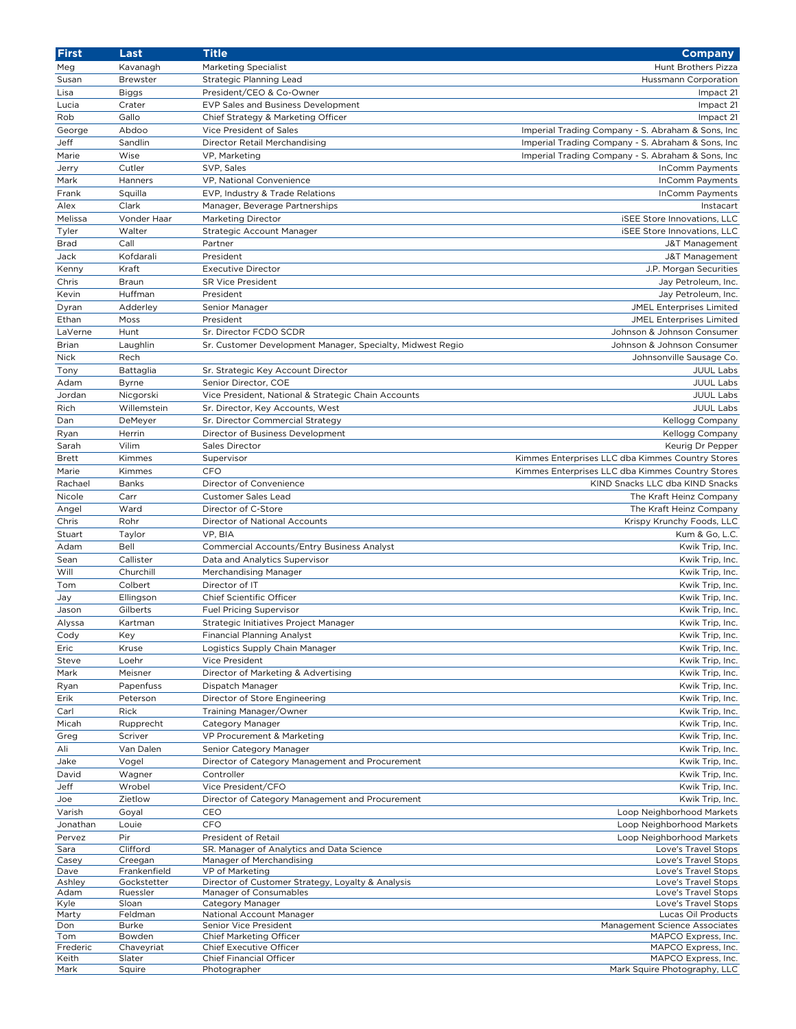| <b>First</b> | Last         | <b>Title</b>                                               | <b>Company</b>                                     |
|--------------|--------------|------------------------------------------------------------|----------------------------------------------------|
| Meg          | Kavanagh     | <b>Marketing Specialist</b>                                | Hunt Brothers Pizza                                |
| Susan        | Brewster     | Strategic Planning Lead                                    | <b>Hussmann Corporation</b>                        |
| Lisa         | <b>Biggs</b> | President/CEO & Co-Owner                                   | Impact 21                                          |
| Lucia        | Crater       | EVP Sales and Business Development                         | Impact 21                                          |
| Rob          | Gallo        | Chief Strategy & Marketing Officer                         | Impact 21                                          |
| George       | Abdoo        | Vice President of Sales                                    | Imperial Trading Company - S. Abraham & Sons, Inc  |
|              |              |                                                            |                                                    |
| Jeff         | Sandlin      | Director Retail Merchandising                              | Imperial Trading Company - S. Abraham & Sons, Inc. |
| Marie        | Wise         | VP, Marketing                                              | Imperial Trading Company - S. Abraham & Sons, Inc  |
| Jerry        | Cutler       | SVP, Sales                                                 | InComm Payments                                    |
| Mark         | Hanners      | VP, National Convenience                                   | InComm Payments                                    |
| Frank        | Squilla      | EVP, Industry & Trade Relations                            | InComm Payments                                    |
| Alex         | Clark        | Manager, Beverage Partnerships                             | Instacart                                          |
| Melissa      | Vonder Haar  | <b>Marketing Director</b>                                  | <b>iSEE Store Innovations, LLC</b>                 |
| Tyler        | Walter       | Strategic Account Manager                                  | <b>iSEE Store Innovations, LLC</b>                 |
| <b>Brad</b>  | Call         | Partner                                                    | J&T Management                                     |
| Jack         | Kofdarali    | President                                                  | J&T Management                                     |
| Kenny        | Kraft        | <b>Executive Director</b>                                  | J.P. Morgan Securities                             |
| Chris        | Braun        | <b>SR Vice President</b>                                   | Jay Petroleum, Inc.                                |
| Kevin        | Huffman      | President                                                  | Jay Petroleum, Inc.                                |
| Dyran        | Adderley     | Senior Manager                                             | JMEL Enterprises Limited                           |
| Ethan        | Moss         | President                                                  | <b>JMEL Enterprises Limited</b>                    |
|              |              |                                                            |                                                    |
| LaVerne      | Hunt         | Sr. Director FCDO SCDR                                     | Johnson & Johnson Consumer                         |
| Brian        | Laughlin     | Sr. Customer Development Manager, Specialty, Midwest Regio | Johnson & Johnson Consumer                         |
| Nick         | Rech         |                                                            | Johnsonville Sausage Co.                           |
| Tony         | Battaglia    | Sr. Strategic Key Account Director                         | <b>JUUL Labs</b>                                   |
| Adam         | <b>Byrne</b> | Senior Director, COE                                       | <b>JUUL Labs</b>                                   |
| Jordan       | Nicgorski    | Vice President, National & Strategic Chain Accounts        | <b>JUUL Labs</b>                                   |
| Rich         | Willemstein  | Sr. Director, Key Accounts, West                           | <b>JUUL Labs</b>                                   |
| Dan          | DeMeyer      | Sr. Director Commercial Strategy                           | Kellogg Company                                    |
| Ryan         | Herrin       | Director of Business Development                           | Kellogg Company                                    |
| Sarah        | Vilim        | Sales Director                                             | Keurig Dr Pepper                                   |
| <b>Brett</b> | Kimmes       | Supervisor                                                 | Kimmes Enterprises LLC dba Kimmes Country Stores   |
| Marie        | Kimmes       | CFO                                                        | Kimmes Enterprises LLC dba Kimmes Country Stores   |
| Rachael      | Banks        | Director of Convenience                                    | KIND Snacks LLC dba KIND Snacks                    |
| Nicole       | Carr         | Customer Sales Lead                                        | The Kraft Heinz Company                            |
|              | Ward         | Director of C-Store                                        | The Kraft Heinz Company                            |
| Angel        |              |                                                            | Krispy Krunchy Foods, LLC                          |
| Chris        | Rohr         | Director of National Accounts                              |                                                    |
| Stuart       | Taylor       | VP, BIA                                                    | Kum & Go, L.C.                                     |
| Adam         | Bell         | Commercial Accounts/Entry Business Analyst                 | Kwik Trip, Inc.                                    |
| Sean         | Callister    | Data and Analytics Supervisor                              | Kwik Trip, Inc.                                    |
| Will         | Churchill    | Merchandising Manager                                      | Kwik Trip, Inc.                                    |
| Tom          | Colbert      | Director of IT                                             | Kwik Trip, Inc.                                    |
| Jay          | Ellingson    | Chief Scientific Officer                                   | Kwik Trip, Inc.                                    |
| Jason        | Gilberts     | <b>Fuel Pricing Supervisor</b>                             | Kwik Trip, Inc.                                    |
| Alyssa       | Kartman      | Strategic Initiatives Project Manager                      | Kwik Trip, Inc.                                    |
| Cody         | Key          | <b>Financial Planning Analyst</b>                          | Kwik Trip, Inc.                                    |
| Eric         | Kruse        | Logistics Supply Chain Manager                             | Kwik Trip, Inc.                                    |
| Steve        | Loehr        | Vice President                                             | Kwik Trip, Inc.                                    |
| Mark         | Meisner      | Director of Marketing & Advertising                        | Kwik Trip, Inc.                                    |
| Ryan         | Papenfuss    | Dispatch Manager                                           | Kwik Trip, Inc.                                    |
| Erik         | Peterson     | Director of Store Engineering                              | Kwik Trip, Inc.                                    |
| Carl         | Rick         | Training Manager/Owner                                     | Kwik Trip, Inc.                                    |
|              |              |                                                            |                                                    |
| Micah        | Rupprecht    | Category Manager                                           | Kwik Trip, Inc.                                    |
| Greg         | Scriver      | VP Procurement & Marketing                                 | Kwik Trip, Inc.                                    |
| Ali          | Van Dalen    | Senior Category Manager                                    | Kwik Trip, Inc.                                    |
| Jake         | Vogel        | Director of Category Management and Procurement            | Kwik Trip, Inc.                                    |
| David        | Wagner       | Controller                                                 | Kwik Trip, Inc.                                    |
| Jeff         | Wrobel       | Vice President/CFO                                         | Kwik Trip, Inc.                                    |
| Joe          | Zietlow      | Director of Category Management and Procurement            | Kwik Trip, Inc.                                    |
| Varish       | Goyal        | CEO                                                        | Loop Neighborhood Markets                          |
| Jonathan     | Louie        | CFO                                                        | Loop Neighborhood Markets                          |
| Pervez       | Pir          | President of Retail                                        | Loop Neighborhood Markets                          |
| Sara         | Clifford     | SR. Manager of Analytics and Data Science                  | Love's Travel Stops                                |
| Casey        | Creegan      | Manager of Merchandising                                   | Love's Travel Stops                                |
| Dave         | Frankenfield | VP of Marketing                                            | Love's Travel Stops                                |
| Ashley       | Gockstetter  | Director of Customer Strategy, Loyalty & Analysis          | Love's Travel Stops                                |
| Adam         | Ruessler     | Manager of Consumables                                     | Love's Travel Stops                                |
| Kyle         | Sloan        | Category Manager                                           | Love's Travel Stops                                |
| Marty        | Feldman      | National Account Manager                                   | Lucas Oil Products                                 |
| Don          | <b>Burke</b> | Senior Vice President                                      | Management Science Associates                      |
| Tom          | Bowden       | Chief Marketing Officer                                    | MAPCO Express, Inc.                                |
| Frederic     | Chaveyriat   | Chief Executive Officer                                    | MAPCO Express, Inc.                                |
| Keith        | Slater       | Chief Financial Officer                                    | MAPCO Express, Inc.                                |
| Mark         | Squire       | Photographer                                               | Mark Squire Photography, LLC                       |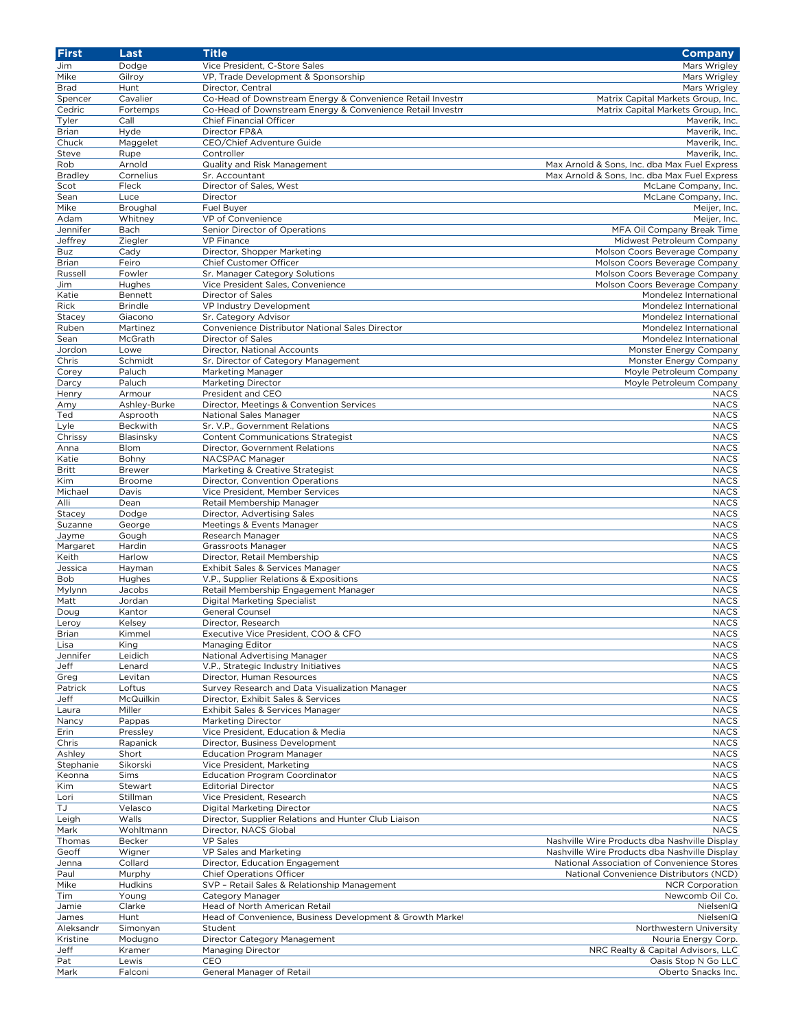| <b>First</b>   | Last           | <b>Title</b>                                              | <b>Company</b>                                |
|----------------|----------------|-----------------------------------------------------------|-----------------------------------------------|
| Jim            | Dodge          | Vice President, C-Store Sales                             | Mars Wrigley                                  |
| Mike           | Gilroy         | VP, Trade Development & Sponsorship                       | Mars Wrigley                                  |
| <b>Brad</b>    | Hunt           | Director, Central                                         | Mars Wrigley                                  |
| Spencer        | Cavalier       | Co-Head of Downstream Energy & Convenience Retail Investm | Matrix Capital Markets Group, Inc.            |
| Cedric         | Fortemps       | Co-Head of Downstream Energy & Convenience Retail Investm | Matrix Capital Markets Group, Inc.            |
| Tyler          | Call           | Chief Financial Officer                                   | Maverik, Inc.                                 |
| <b>Brian</b>   | Hyde           | Director FP&A                                             | Maverik, Inc.                                 |
|                |                |                                                           |                                               |
| Chuck          | Maggelet       | CEO/Chief Adventure Guide                                 | Maverik, Inc.                                 |
| Steve          | Rupe           | Controller                                                | Maverik, Inc.                                 |
| Rob            | Arnold         | Quality and Risk Management                               | Max Arnold & Sons, Inc. dba Max Fuel Express  |
| <b>Bradley</b> | Cornelius      | Sr. Accountant                                            | Max Arnold & Sons, Inc. dba Max Fuel Express  |
| Scot           | Fleck          | Director of Sales, West                                   | McLane Company, Inc.                          |
| Sean           | Luce           | Director                                                  | McLane Company, Inc.                          |
| Mike           | Broughal       | Fuel Buyer                                                | Meijer, Inc.                                  |
| Adam           | Whitney        | VP of Convenience                                         | Meijer, Inc.                                  |
| Jennifer       | Bach           | Senior Director of Operations                             | MFA Oil Company Break Time                    |
| Jeffrey        | Ziegler        | <b>VP Finance</b>                                         | Midwest Petroleum Company                     |
| <b>Buz</b>     | Cady           | Director, Shopper Marketing                               | Molson Coors Beverage Company                 |
| Brian          | Feiro          | Chief Customer Officer                                    | Molson Coors Beverage Company                 |
| Russell        | Fowler         | Sr. Manager Category Solutions                            | Molson Coors Beverage Company                 |
|                |                |                                                           |                                               |
| Jim            | Hughes         | Vice President Sales, Convenience                         | Molson Coors Beverage Company                 |
| Katie          | Bennett        | Director of Sales                                         | Mondelez International                        |
| Rick           | <b>Brindle</b> | VP Industry Development                                   | Mondelez International                        |
| Stacey         | Giacono        | Sr. Category Advisor                                      | Mondelez International                        |
| Ruben          | Martinez       | Convenience Distributor National Sales Director           | Mondelez International                        |
| Sean           | McGrath        | Director of Sales                                         | Mondelez International                        |
| Jordon         | Lowe           | Director, National Accounts                               | Monster Energy Company                        |
| Chris          | Schmidt        | Sr. Director of Category Management                       | Monster Energy Company                        |
| Corey          | Paluch         | Marketing Manager                                         | Moyle Petroleum Company                       |
| Darcy          | Paluch         | <b>Marketing Director</b>                                 | Moyle Petroleum Company                       |
| Henry          | Armour         | President and CEO                                         | <b>NACS</b>                                   |
|                |                |                                                           | <b>NACS</b>                                   |
| Amy            | Ashley-Burke   | Director, Meetings & Convention Services                  |                                               |
| Ted            | Asprooth       | National Sales Manager                                    | <b>NACS</b>                                   |
| Lyle           | Beckwith       | Sr. V.P., Government Relations                            | <b>NACS</b>                                   |
| Chrissy        | Blasinsky      | <b>Content Communications Strategist</b>                  | <b>NACS</b>                                   |
| Anna           | Blom           | Director, Government Relations                            | <b>NACS</b>                                   |
| Katie          | Bohny          | NACSPAC Manager                                           | <b>NACS</b>                                   |
| <b>Britt</b>   | <b>Brewer</b>  | Marketing & Creative Strategist                           | <b>NACS</b>                                   |
| Kim            | Broome         | Director, Convention Operations                           | <b>NACS</b>                                   |
| Michael        | Davis          | Vice President, Member Services                           | <b>NACS</b>                                   |
| Alli           | Dean           | Retail Membership Manager                                 | <b>NACS</b>                                   |
| Stacey         | Dodge          | Director, Advertising Sales                               | <b>NACS</b>                                   |
| Suzanne        | George         | Meetings & Events Manager                                 | <b>NACS</b>                                   |
|                |                |                                                           | <b>NACS</b>                                   |
| Jayme          | Gough          | Research Manager                                          |                                               |
| Margaret       | Hardin         | Grassroots Manager                                        | <b>NACS</b>                                   |
| Keith          | Harlow         | Director, Retail Membership                               | <b>NACS</b>                                   |
| Jessica        | Hayman         | Exhibit Sales & Services Manager                          | <b>NACS</b>                                   |
| Bob            | Hughes         | V.P., Supplier Relations & Expositions                    | <b>NACS</b>                                   |
| Mylynn         | Jacobs         | Retail Membership Engagement Manager                      | <b>NACS</b>                                   |
| Matt           | Jordan         | <b>Digital Marketing Specialist</b>                       | <b>NACS</b>                                   |
| Doug           | Kantor         | General Counsel                                           | <b>NACS</b>                                   |
| Leroy          | Kelsey         | Director, Research                                        | <b>NACS</b>                                   |
| <b>Brian</b>   | Kimmel         | Executive Vice President, COO & CFO                       | <b>NACS</b>                                   |
| Lisa           | King           | Managing Editor                                           | <b>NACS</b>                                   |
| Jennifer       |                |                                                           |                                               |
|                | Leidich        | National Advertising Manager                              | <b>NACS</b>                                   |
| Jeff           | Lenard         | V.P., Strategic Industry Initiatives                      | <b>NACS</b>                                   |
| Greg           | Levitan        | Director, Human Resources                                 | <b>NACS</b>                                   |
| Patrick        | Loftus         | Survey Research and Data Visualization Manager            | <b>NACS</b>                                   |
| Jeff           | McQuilkin      | Director, Exhibit Sales & Services                        | <b>NACS</b>                                   |
| Laura          | Miller         | Exhibit Sales & Services Manager                          | <b>NACS</b>                                   |
| Nancy          | Pappas         | Marketing Director                                        | <b>NACS</b>                                   |
| Erin           | Pressley       | Vice President, Education & Media                         | <b>NACS</b>                                   |
| Chris          | Rapanick       | Director, Business Development                            | <b>NACS</b>                                   |
| Ashley         | Short          | <b>Education Program Manager</b>                          | <b>NACS</b>                                   |
| Stephanie      | Sikorski       | Vice President, Marketing                                 | <b>NACS</b>                                   |
| Keonna         | Sims           | <b>Education Program Coordinator</b>                      | <b>NACS</b>                                   |
|                |                |                                                           | <b>NACS</b>                                   |
| Kim            | Stewart        | <b>Editorial Director</b>                                 |                                               |
| Lori           | Stillman       | Vice President, Research                                  | <b>NACS</b>                                   |
| TJ             | Velasco        | Digital Marketing Director                                | <b>NACS</b>                                   |
| Leigh          | Walls          | Director, Supplier Relations and Hunter Club Liaison      | <b>NACS</b>                                   |
| Mark           | Wohltmann      | Director, NACS Global                                     | <b>NACS</b>                                   |
| Thomas         | Becker         | <b>VP Sales</b>                                           | Nashville Wire Products dba Nashville Display |
| Geoff          | Wigner         | VP Sales and Marketing                                    | Nashville Wire Products dba Nashville Display |
| Jenna          | Collard        | Director, Education Engagement                            | National Association of Convenience Stores    |
| Paul           | Murphy         | <b>Chief Operations Officer</b>                           | National Convenience Distributors (NCD)       |
| Mike           | Hudkins        | SVP - Retail Sales & Relationship Management              | <b>NCR Corporation</b>                        |
| Tim            | Young          | Category Manager                                          | Newcomb Oil Co.                               |
| Jamie          | Clarke         | Head of North American Retail                             | NielsenIQ                                     |
|                | Hunt           | Head of Convenience, Business Development & Growth Market | NielsenIQ                                     |
| James          |                |                                                           |                                               |
| Aleksandr      | Simonyan       | Student                                                   | Northwestern University                       |
| Kristine       | Modugno        | Director Category Management                              | Nouria Energy Corp.                           |
| Jeff           | Kramer         | Managing Director                                         | NRC Realty & Capital Advisors, LLC            |
| Pat            | Lewis          | CEO                                                       | Oasis Stop N Go LLC                           |
| Mark           | Falconi        | General Manager of Retail                                 | Oberto Snacks Inc.                            |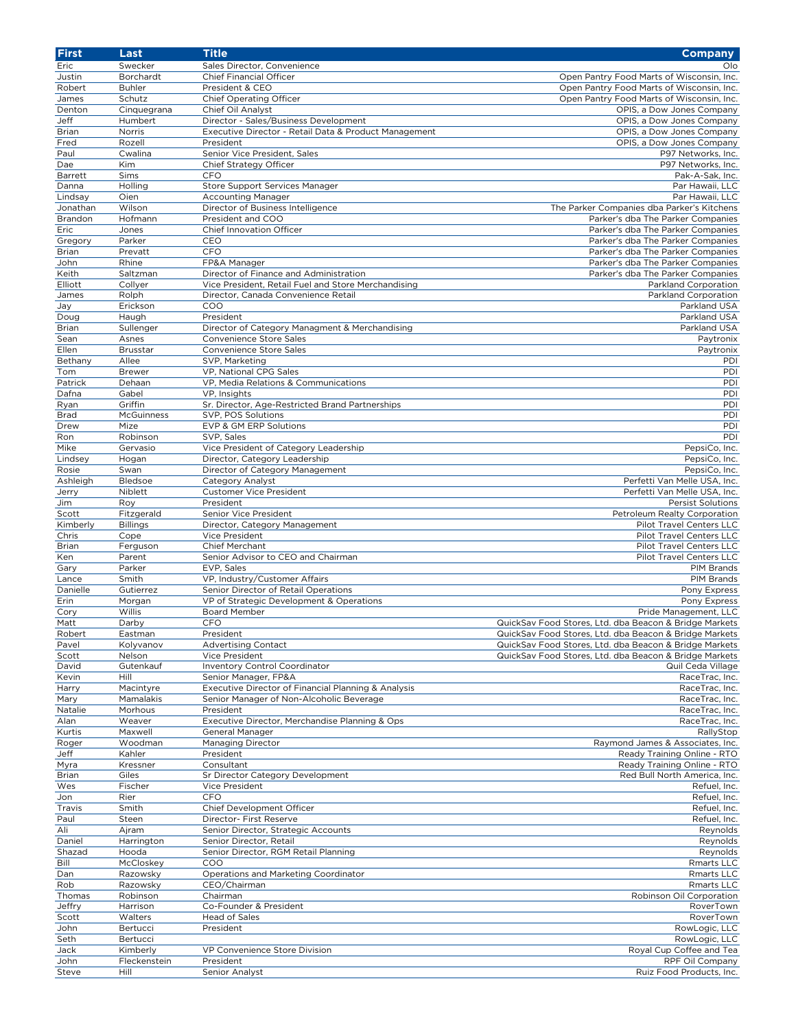| First        | Last            | <b>Title</b>                                          | <b>Company</b>                                         |
|--------------|-----------------|-------------------------------------------------------|--------------------------------------------------------|
| Eric         | Swecker         | Sales Director, Convenience                           | Olo                                                    |
| Justin       | Borchardt       | Chief Financial Officer                               | Open Pantry Food Marts of Wisconsin, Inc.              |
| Robert       | <b>Buhler</b>   | President & CEO                                       | Open Pantry Food Marts of Wisconsin, Inc.              |
| James        | Schutz          | <b>Chief Operating Officer</b>                        | Open Pantry Food Marts of Wisconsin, Inc.              |
| Denton       | Cinquegrana     | Chief Oil Analyst                                     | OPIS, a Dow Jones Company                              |
| Jeff         | Humbert         | Director - Sales/Business Development                 | OPIS, a Dow Jones Company                              |
| <b>Brian</b> | Norris          | Executive Director - Retail Data & Product Management | OPIS, a Dow Jones Company                              |
| Fred         | Rozell          | President                                             | OPIS, a Dow Jones Company                              |
| Paul         | Cwalina         | Senior Vice President, Sales                          | P97 Networks, Inc.                                     |
|              | <b>Kim</b>      |                                                       |                                                        |
| Dae          |                 | Chief Strategy Officer                                | P97 Networks, Inc.                                     |
| Barrett      | Sims            | CFO                                                   | Pak-A-Sak, Inc.                                        |
| Danna        | Holling         | Store Support Services Manager                        | Par Hawaii, LLC                                        |
| Lindsay      | Oien            | <b>Accounting Manager</b>                             | Par Hawaii, LLC                                        |
| Jonathan     | Wilson          | Director of Business Intelligence                     | The Parker Companies dba Parker's Kitchens             |
| Brandon      | Hofmann         | President and COO                                     | Parker's dba The Parker Companies                      |
| Eric         | Jones           | <b>Chief Innovation Officer</b>                       | Parker's dba The Parker Companies                      |
| Gregory      | Parker          | CEO                                                   | Parker's dba The Parker Companies                      |
| <b>Brian</b> | Prevatt         | CFO                                                   | Parker's dba The Parker Companies                      |
| John         | Rhine           | FP&A Manager                                          | Parker's dba The Parker Companies                      |
| Keith        | Saltzman        | Director of Finance and Administration                | Parker's dba The Parker Companies                      |
| Elliott      | Collyer         | Vice President, Retail Fuel and Store Merchandising   | Parkland Corporation                                   |
| James        | Rolph           | Director, Canada Convenience Retail                   | Parkland Corporation                                   |
| Jay          | Erickson        | COO                                                   | Parkland USA                                           |
| Doug         | Haugh           | President                                             | Parkland USA                                           |
| <b>Brian</b> | Sullenger       | Director of Category Managment & Merchandising        | Parkland USA                                           |
| Sean         | Asnes           | Convenience Store Sales                               | Paytronix                                              |
| Ellen        | Brusstar        | Convenience Store Sales                               | Paytronix                                              |
|              |                 |                                                       |                                                        |
| Bethany      | Allee           | SVP, Marketing                                        | PDI                                                    |
| Tom          | <b>Brewer</b>   | <b>VP. National CPG Sales</b>                         | PDI                                                    |
| Patrick      | Dehaan          | VP, Media Relations & Communications                  | PDI                                                    |
| Dafna        | Gabel           | VP, Insights                                          | PDI                                                    |
| Ryan         | Griffin         | Sr. Director, Age-Restricted Brand Partnerships       | PDI                                                    |
| <b>Brad</b>  | McGuinness      | SVP, POS Solutions                                    | PDI                                                    |
| Drew         | Mize            | EVP & GM ERP Solutions                                | PDI                                                    |
| Ron          | Robinson        | SVP, Sales                                            | PDI                                                    |
| Mike         | Gervasio        | Vice President of Category Leadership                 | PepsiCo, Inc.                                          |
| Lindsey      | Hogan           | Director, Category Leadership                         | PepsiCo, Inc.                                          |
| Rosie        | Swan            | Director of Category Management                       | PepsiCo, Inc.                                          |
| Ashleigh     | Bledsoe         | Category Analyst                                      | Perfetti Van Melle USA, Inc.                           |
| Jerry        | Niblett         | <b>Customer Vice President</b>                        | Perfetti Van Melle USA, Inc.                           |
| Jim          | Roy             | President                                             | <b>Persist Solutions</b>                               |
| Scott        | Fitzgerald      | Senior Vice President                                 | Petroleum Realty Corporation                           |
| Kimberly     | <b>Billings</b> | Director, Category Management                         | Pilot Travel Centers LLC                               |
| Chris        |                 | Vice President                                        | Pilot Travel Centers LLC                               |
|              | Cope            |                                                       |                                                        |
| <b>Brian</b> | Ferguson        | Chief Merchant                                        | Pilot Travel Centers LLC                               |
| Ken          | Parent          | Senior Advisor to CEO and Chairman                    | Pilot Travel Centers LLC                               |
| Gary         | Parker          | EVP, Sales                                            | PIM Brands                                             |
| Lance        | Smith           | VP, Industry/Customer Affairs                         | <b>PIM Brands</b>                                      |
| Danielle     | Gutierrez       | Senior Director of Retail Operations                  | Pony Express                                           |
| Erin         | Morgan          | VP of Strategic Development & Operations              | Pony Express                                           |
| Cory         | Willis          | <b>Board Member</b>                                   | Pride Management, LLC                                  |
| Matt         | Darby           | <b>CFO</b>                                            | QuickSav Food Stores, Ltd. dba Beacon & Bridge Markets |
| Robert       | Eastman         | President                                             | QuickSav Food Stores, Ltd. dba Beacon & Bridge Markets |
| Pavel        | Kolyvanov       | <b>Advertising Contact</b>                            | QuickSav Food Stores, Ltd. dba Beacon & Bridge Markets |
| Scott        | Nelson          | Vice President                                        | QuickSav Food Stores, Ltd. dba Beacon & Bridge Markets |
| David        | Gutenkauf       | Inventory Control Coordinator                         | Quil Ceda Village                                      |
| Kevin        | Hill            | Senior Manager, FP&A                                  | RaceTrac, Inc.                                         |
| Harry        | Macintyre       | Executive Director of Financial Planning & Analysis   | RaceTrac, Inc.                                         |
| Mary         | Mamalakis       | Senior Manager of Non-Alcoholic Beverage              | RaceTrac, Inc.                                         |
| Natalie      | Morhous         | President                                             | RaceTrac, Inc.                                         |
| Alan         | Weaver          | Executive Director, Merchandise Planning & Ops        | RaceTrac, Inc.                                         |
| Kurtis       | Maxwell         | General Manager                                       | RallyStop                                              |
|              | Woodman         | Managing Director                                     | Raymond James & Associates, Inc.                       |
| Roger        |                 | President                                             |                                                        |
| Jeff         | Kahler          |                                                       | Ready Training Online - RTO                            |
| Myra         | Kressner        | Consultant                                            | Ready Training Online - RTO                            |
| <b>Brian</b> | Giles           | Sr Director Category Development                      | Red Bull North America, Inc.                           |
| Wes          | Fischer         | Vice President                                        | Refuel, Inc.                                           |
| Jon          | Rier            | <b>CFO</b>                                            | Refuel, Inc.                                           |
| Travis       | Smith           | Chief Development Officer                             | Refuel, Inc.                                           |
| Paul         | Steen           | Director- First Reserve                               | Refuel, Inc.                                           |
| Ali          | Ajram           | Senior Director, Strategic Accounts                   | Reynolds                                               |
| Daniel       | Harrington      | Senior Director, Retail                               | Reynolds                                               |
| Shazad       | Hooda           | Senior Director, RGM Retail Planning                  | Reynolds                                               |
| Bill         | McCloskey       | COO                                                   | Rmarts LLC                                             |
| Dan          | Razowsky        | Operations and Marketing Coordinator                  | Rmarts LLC                                             |
| Rob          | Razowsky        | CEO/Chairman                                          | Rmarts LLC                                             |
| Thomas       | Robinson        | Chairman                                              | Robinson Oil Corporation                               |
| Jeffry       | <b>Harrison</b> | Co-Founder & President                                | RoverTown                                              |
| Scott        | Walters         | Head of Sales                                         | RoverTown                                              |
| John         | Bertucci        | President                                             | RowLogic, LLC                                          |
| Seth         | Bertucci        |                                                       | RowLogic, LLC                                          |
| Jack         | Kimberly        | VP Convenience Store Division                         | Royal Cup Coffee and Tea                               |
| John         |                 | President                                             | RPF Oil Company                                        |
|              | Fleckenstein    |                                                       |                                                        |
| Steve        | Hill            | Senior Analyst                                        | Ruiz Food Products, Inc.                               |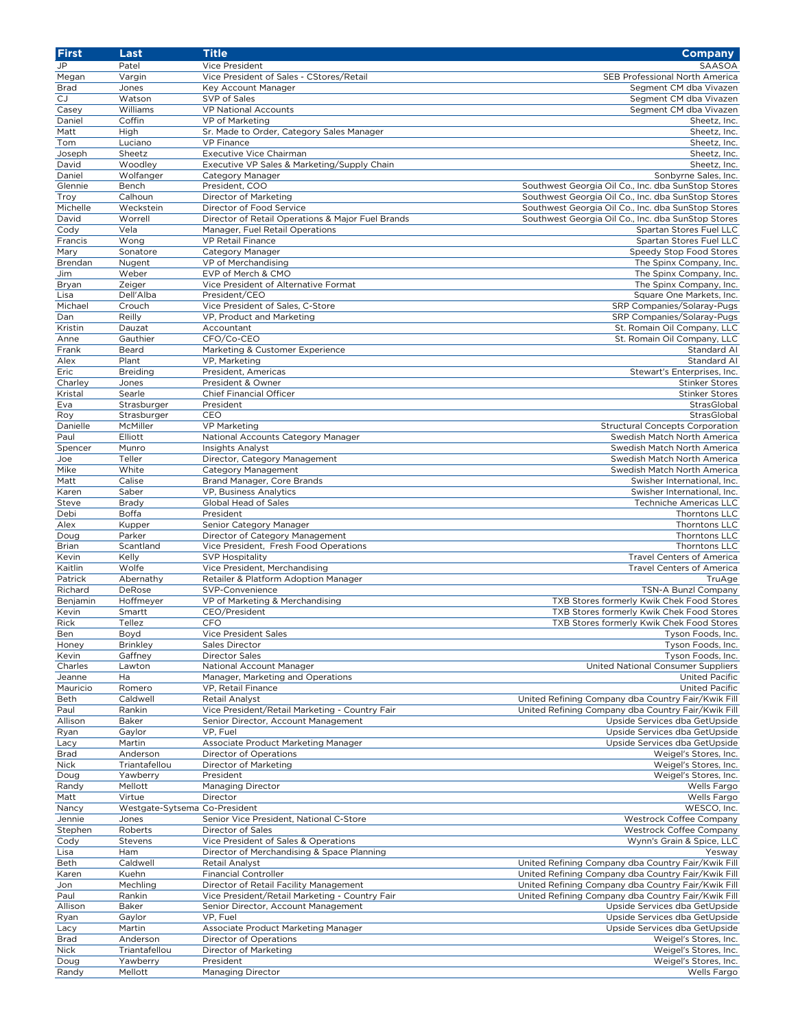| <b>First</b> | Last                          | <b>Title</b>                                      | <b>Company</b>                                     |
|--------------|-------------------------------|---------------------------------------------------|----------------------------------------------------|
| JP           | Patel                         | Vice President                                    | SAASOA                                             |
| Megan        | Vargin                        | Vice President of Sales - CStores/Retail          | SEB Professional North America                     |
| <b>Brad</b>  | Jones                         | Key Account Manager                               | Segment CM dba Vivazen                             |
| <b>CJ</b>    | Watson                        | SVP of Sales                                      | Segment CM dba Vivazen                             |
| Casey        | Williams                      | VP National Accounts                              | Segment CM dba Vivazen                             |
| Daniel       | Coffin                        | VP of Marketing                                   | Sheetz, Inc.                                       |
| Matt         | High                          | Sr. Made to Order, Category Sales Manager         | Sheetz, Inc.                                       |
| Tom          | Luciano                       | <b>VP Finance</b>                                 | Sheetz. Inc.                                       |
| Joseph       | Sheetz                        | Executive Vice Chairman                           | Sheetz, Inc.                                       |
| David        | Woodley                       | Executive VP Sales & Marketing/Supply Chain       | Sheetz, Inc.                                       |
| Daniel       | Wolfanger                     | Category Manager                                  | Sonbyrne Sales, Inc.                               |
| Glennie      | Bench                         | President, COO                                    | Southwest Georgia Oil Co., Inc. dba SunStop Stores |
| Troy         | Calhoun                       | Director of Marketing                             | Southwest Georgia Oil Co., Inc. dba SunStop Stores |
| Michelle     | Weckstein                     | Director of Food Service                          | Southwest Georgia Oil Co., Inc. dba SunStop Stores |
| David        | Worrell                       | Director of Retail Operations & Major Fuel Brands | Southwest Georgia Oil Co., Inc. dba SunStop Stores |
| Cody         | Vela                          | Manager, Fuel Retail Operations                   | Spartan Stores Fuel LLC                            |
| Francis      | Wong                          | <b>VP Retail Finance</b>                          | Spartan Stores Fuel LLC                            |
| Mary         | Sonatore                      | Category Manager                                  | Speedy Stop Food Stores                            |
| Brendan      | Nugent                        | VP of Merchandising                               | The Spinx Company, Inc.                            |
| Jim          | Weber                         | EVP of Merch & CMO                                | The Spinx Company, Inc.                            |
| Bryan        | Zeiger                        | Vice President of Alternative Format              | The Spinx Company, Inc.                            |
| Lisa         | Dell'Alba                     | President/CEO                                     | Square One Markets, Inc.                           |
| Michael      | Crouch                        | Vice President of Sales, C-Store                  | SRP Companies/Solaray-Pugs                         |
| Dan          | Reilly                        | VP, Product and Marketing                         | SRP Companies/Solaray-Pugs                         |
| Kristin      | Dauzat                        | Accountant                                        | St. Romain Oil Company, LLC                        |
| Anne         | Gauthier                      | CFO/Co-CEO                                        | St. Romain Oil Company, LLC                        |
| Frank        | Beard                         | Marketing & Customer Experience                   | Standard AI                                        |
| Alex         | Plant                         | VP, Marketing                                     | Standard Al                                        |
| Eric         | Breiding                      | President, Americas                               | Stewart's Enterprises, Inc.                        |
| Charley      | Jones                         | President & Owner                                 | <b>Stinker Stores</b>                              |
| Kristal      | Searle                        | <b>Chief Financial Officer</b>                    | <b>Stinker Stores</b>                              |
| Eva          | Strasburger                   | President                                         | StrasGlobal                                        |
| Roy          | Strasburger                   | CEO                                               | StrasGlobal                                        |
| Danielle     | McMiller                      | <b>VP Marketing</b>                               | <b>Structural Concepts Corporation</b>             |
| Paul         | Elliott                       | National Accounts Category Manager                | Swedish Match North America                        |
| Spencer      | Munro                         | Insights Analyst                                  | Swedish Match North America                        |
| Joe          | Teller                        | Director, Category Management                     | Swedish Match North America                        |
| Mike         | White                         | Category Management                               | Swedish Match North America                        |
| Matt         | Calise                        | Brand Manager, Core Brands                        | Swisher International, Inc.                        |
| Karen        | Saber                         | VP, Business Analytics                            | Swisher International, Inc.                        |
| Steve        | Brady                         | Global Head of Sales                              | <b>Techniche Americas LLC</b>                      |
| Debi         | Boffa                         | President                                         | Thorntons LLC                                      |
| Alex         | Kupper                        | Senior Category Manager                           | Thorntons LLC                                      |
| Doug         | Parker                        | Director of Category Management                   | Thorntons LLC                                      |
| <b>Brian</b> | Scantland                     | Vice President, Fresh Food Operations             | Thorntons LLC                                      |
| Kevin        | Kelly                         | <b>SVP Hospitality</b>                            | <b>Travel Centers of America</b>                   |
| Kaitlin      | Wolfe                         | Vice President, Merchandising                     | <b>Travel Centers of America</b>                   |
| Patrick      | Abernathy                     | Retailer & Platform Adoption Manager              | TruAge                                             |
| Richard      | DeRose                        | SVP-Convenience                                   | TSN-A Bunzl Company                                |
| Benjamin     | Hoffmeyer                     | VP of Marketing & Merchandising                   | TXB Stores formerly Kwik Chek Food Stores          |
| Kevin        | Smartt                        | CEO/President                                     | TXB Stores formerly Kwik Chek Food Stores          |
| Rick         | Tellez                        | <b>CFO</b>                                        | TXB Stores formerly Kwik Chek Food Stores          |
| Ben          | Boyd                          | Vice President Sales                              | Tyson Foods, Inc.                                  |
| Honey        | Brinkley                      | Sales Director                                    | Tyson Foods, Inc.                                  |
| Kevin        | Gaffney                       | <b>Director Sales</b>                             | Tyson Foods, Inc.                                  |
| Charles      | Lawton                        | National Account Manager                          | United National Consumer Suppliers                 |
| Jeanne       | Ha                            | Manager, Marketing and Operations                 | United Pacific                                     |
| Mauricio     | Romero                        | VP, Retail Finance                                | <b>United Pacific</b>                              |
| Beth         | Caldwell                      | Retail Analyst                                    | United Refining Company dba Country Fair/Kwik Fill |
| Paul         | Rankin                        | Vice President/Retail Marketing - Country Fair    | United Refining Company dba Country Fair/Kwik Fill |
| Allison      | Baker                         | Senior Director, Account Management               | Upside Services dba GetUpside                      |
| Ryan         | Gaylor                        | VP, Fuel                                          | Upside Services dba GetUpside                      |
| Lacy         | Martin                        | Associate Product Marketing Manager               | Upside Services dba GetUpside                      |
| <b>Brad</b>  | Anderson                      | Director of Operations                            | Weigel's Stores, Inc.                              |
| <b>Nick</b>  | Triantafellou                 | Director of Marketing                             | Weigel's Stores, Inc.                              |
| Doug         | Yawberry                      | President                                         | Weigel's Stores, Inc.                              |
| Randy        | Mellott                       | Managing Director                                 | Wells Fargo                                        |
| Matt         | Virtue                        | Director                                          | Wells Fargo                                        |
| Nancy        | Westgate-Sytsema Co-President |                                                   | WESCO, Inc.                                        |
| Jennie       | Jones                         | Senior Vice President, National C-Store           | Westrock Coffee Company                            |
| Stephen      | Roberts                       | Director of Sales                                 | Westrock Coffee Company                            |
| Cody         | Stevens                       | Vice President of Sales & Operations              | Wynn's Grain & Spice, LLC                          |
| Lisa         | Ham                           | Director of Merchandising & Space Planning        | Yesway                                             |
| Beth         | Caldwell                      | Retail Analyst                                    | United Refining Company dba Country Fair/Kwik Fill |
| Karen        | Kuehn                         | <b>Financial Controller</b>                       | United Refining Company dba Country Fair/Kwik Fill |
| Jon          | Mechling                      | Director of Retail Facility Management            | United Refining Company dba Country Fair/Kwik Fill |
| Paul         | Rankin                        | Vice President/Retail Marketing - Country Fair    | United Refining Company dba Country Fair/Kwik Fill |
| Allison      | Baker                         | Senior Director, Account Management               | Upside Services dba GetUpside                      |
| Ryan         | Gaylor                        | VP, Fuel                                          | Upside Services dba GetUpside                      |
| Lacy         | Martin                        | Associate Product Marketing Manager               | Upside Services dba GetUpside                      |
| <b>Brad</b>  | Anderson                      | Director of Operations                            | Weigel's Stores, Inc.                              |
| Nick         | Triantafellou                 | Director of Marketing                             | Weigel's Stores, Inc.                              |
| Doug         | Yawberry                      | President                                         | Weigel's Stores, Inc.                              |
| Randy        | Mellott                       | Managing Director                                 | Wells Fargo                                        |